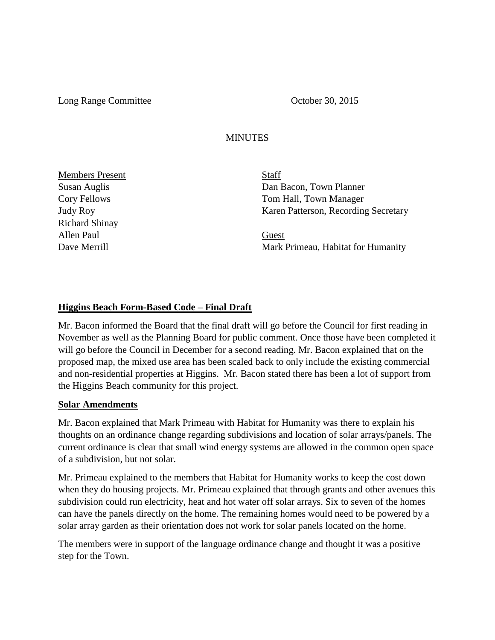Long Range Committee **Committee** October 30, 2015

## **MINUTES**

Members Present Staff Richard Shinay Allen Paul Guest

Susan Auglis Dan Bacon, Town Planner Cory Fellows Tom Hall, Town Manager Judy Roy Karen Patterson, Recording Secretary

Dave Merrill Mark Primeau, Habitat for Humanity

## **Higgins Beach Form-Based Code – Final Draft**

Mr. Bacon informed the Board that the final draft will go before the Council for first reading in November as well as the Planning Board for public comment. Once those have been completed it will go before the Council in December for a second reading. Mr. Bacon explained that on the proposed map, the mixed use area has been scaled back to only include the existing commercial and non-residential properties at Higgins. Mr. Bacon stated there has been a lot of support from the Higgins Beach community for this project.

## **Solar Amendments**

Mr. Bacon explained that Mark Primeau with Habitat for Humanity was there to explain his thoughts on an ordinance change regarding subdivisions and location of solar arrays/panels. The current ordinance is clear that small wind energy systems are allowed in the common open space of a subdivision, but not solar.

Mr. Primeau explained to the members that Habitat for Humanity works to keep the cost down when they do housing projects. Mr. Primeau explained that through grants and other avenues this subdivision could run electricity, heat and hot water off solar arrays. Six to seven of the homes can have the panels directly on the home. The remaining homes would need to be powered by a solar array garden as their orientation does not work for solar panels located on the home.

The members were in support of the language ordinance change and thought it was a positive step for the Town.